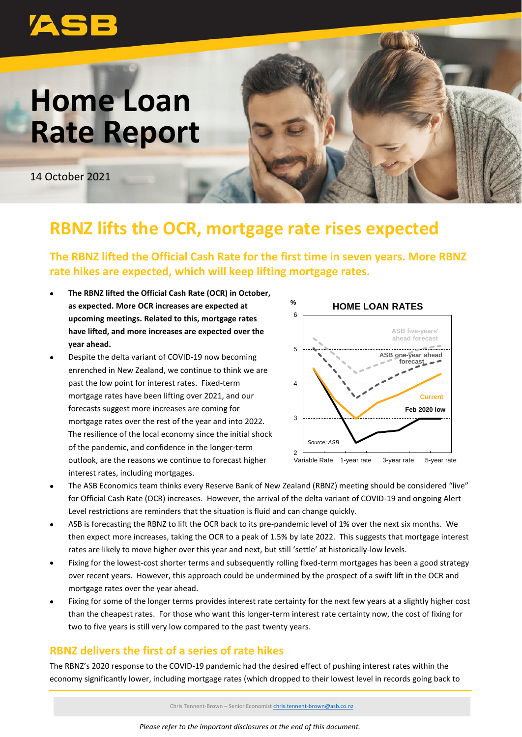

# **Home Loan Rate Report**

14 October 2021

## **RBNZ lifts the OCR, mortgage rate rises expected**

**The RBNZ lifted the Official Cash Rate for the first time in seven years. More RBNZ rate hikes are expected, which will keep lifting mortgage rates.**

- **The RBNZ lifted the Official Cash Rate (OCR) in October, as expected. More OCR increases are expected at upcoming meetings. Related to this, mortgage rates have lifted, and more increases are expected over the year ahead.**
- Despite the delta variant of COVID-19 now becoming enrenched in New Zealand, we continue to think we are past the low point for interest rates. Fixed-term mortgage rates have been lifting over 2021, and our forecasts suggest more increases are coming for mortgage rates over the rest of the year and into 2022. The resilience of the local economy since the initial shock of the pandemic, and confidence in the longer-term outlook, are the reasons we continue to forecast higher interest rates, including mortgages.



- The ASB Economics team thinks every Reserve Bank of New Zealand (RBNZ) meeting should be considered "live" for Official Cash Rate (OCR) increases. However, the arrival of the delta variant of COVID-19 and ongoing Alert Level restrictions are reminders that the situation is fluid and can change quickly.
- ASB is forecasting the RBNZ to lift the OCR back to its pre-pandemic level of 1% over the next six months. We then expect more increases, taking the OCR to a peak of 1.5% by late 2022. This suggests that mortgage interest rates are likely to move higher over this year and next, but still 'settle' at historically-low levels.
- Fixing for the lowest-cost shorter terms and subsequently rolling fixed-term mortgages has been a good strategy over recent years. However, this approach could be undermined by the prospect of a swift lift in the OCR and mortgage rates over the year ahead.
- Fixing for some of the longer terms provides interest rate certainty for the next few years at a slightly higher cost than the cheapest rates. For those who want this longer-term interest rate certainty now, the cost of fixing for two to five years is still very low compared to the past twenty years.

### **RBNZ delivers the first of a series of rate hikes**

The RBNZ's 2020 response to the COVID-19 pandemic had the desired effect of pushing interest rates within the economy significantly lower, including mortgage rates (which dropped to their lowest level in records going back to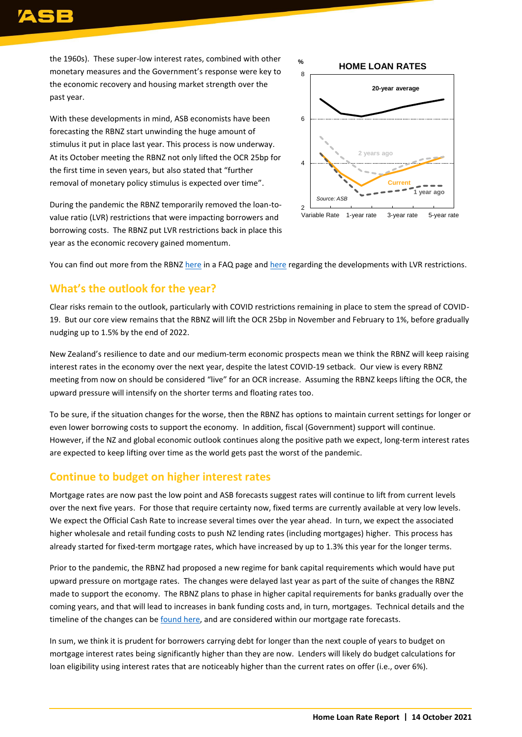the 1960s). These super-low interest rates, combined with other monetary measures and the Government's response were key to the economic recovery and housing market strength over the past year.

With these developments in mind, ASB economists have been forecasting the RBNZ start unwinding the huge amount of stimulus it put in place last year. This process is now underway. At its October meeting the RBNZ not only lifted the OCR 25bp for the first time in seven years, but also stated that "further removal of monetary policy stimulus is expected over time".

During the pandemic the RBNZ temporarily removed the loan-tovalue ratio (LVR) restrictions that were impacting borrowers and borrowing costs. The RBNZ put LVR restrictions back in place this year as the economic recovery gained momentum.



You can find out more from the RBNZ [here](https://www.rbnz.govt.nz/faqs/loan-to-value-ratio-restrictions-faqs) in a FAQ page and [here](https://www.rbnz.govt.nz/regulation-and-supervision/banks/macro-prudential-policy/loan-to-valuation-ratio-restrictions) regarding the developments with LVR restrictions.

### **What's the outlook for the year?**

Clear risks remain to the outlook, particularly with COVID restrictions remaining in place to stem the spread of COVID-19. But our core view remains that the RBNZ will lift the OCR 25bp in November and February to 1%, before gradually nudging up to 1.5% by the end of 2022.

New Zealand's resilience to date and our medium-term economic prospects mean we think the RBNZ will keep raising interest rates in the economy over the next year, despite the latest COVID-19 setback. Our view is every RBNZ meeting from now on should be considered "live" for an OCR increase. Assuming the RBNZ keeps lifting the OCR, the upward pressure will intensify on the shorter terms and floating rates too.

To be sure, if the situation changes for the worse, then the RBNZ has options to maintain current settings for longer or even lower borrowing costs to support the economy. In addition, fiscal (Government) support will continue. However, if the NZ and global economic outlook continues along the positive path we expect, long-term interest rates are expected to keep lifting over time as the world gets past the worst of the pandemic.

#### **Continue to budget on higher interest rates**

Mortgage rates are now past the low point and ASB forecasts suggest rates will continue to lift from current levels over the next five years. For those that require certainty now, fixed terms are currently available at very low levels. We expect the Official Cash Rate to increase several times over the year ahead. In turn, we expect the associated higher wholesale and retail funding costs to push NZ lending rates (including mortgages) higher. This process has already started for fixed-term mortgage rates, which have increased by up to 1.3% this year for the longer terms.

Prior to the pandemic, the RBNZ had proposed a new regime for bank capital requirements which would have put upward pressure on mortgage rates. The changes were delayed last year as part of the suite of changes the RBNZ made to support the economy. The RBNZ plans to phase in higher capital requirements for banks gradually over the coming years, and that will lead to increases in bank funding costs and, in turn, mortgages. Technical details and the timeline of the changes can be [found here,](https://www.rbnz.govt.nz/news/2021/06/reserve-bank-finalises-bank-capital-rules-improves-format-of-banking-rules) and are considered within our mortgage rate forecasts.

In sum, we think it is prudent for borrowers carrying debt for longer than the next couple of years to budget on mortgage interest rates being significantly higher than they are now. Lenders will likely do budget calculations for loan eligibility using interest rates that are noticeably higher than the current rates on offer (i.e., over 6%).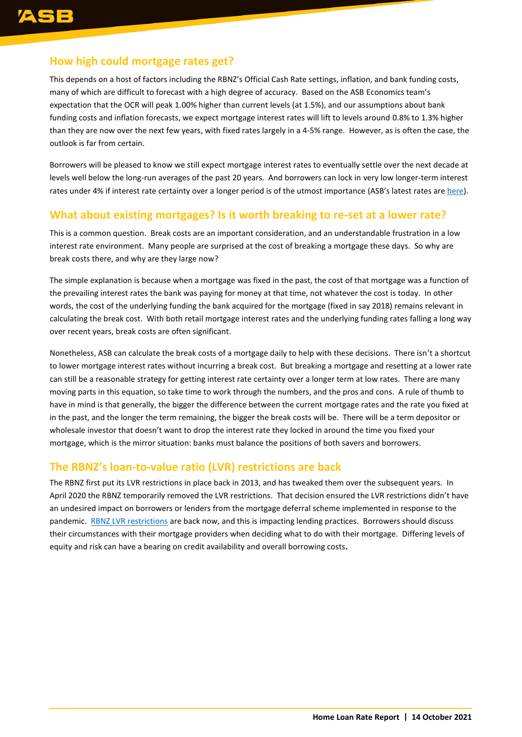### **How high could mortgage rates get?**

This depends on a host of factors including the RBNZ's Official Cash Rate settings, inflation, and bank funding costs, many of which are difficult to forecast with a high degree of accuracy. Based on the ASB Economics team's expectation that the OCR will peak 1.00% higher than current levels (at 1.5%), and our assumptions about bank funding costs and inflation forecasts, we expect mortgage interest rates will lift to levels around 0.8% to 1.3% higher than they are now over the next few years, with fixed rates largely in a 4-5% range. However, as is often the case, the outlook is far from certain.

Borrowers will be pleased to know we still expect mortgage interest rates to eventually settle over the next decade at levels well below the long-run averages of the past 20 years. And borrowers can lock in very low longer-term interest rates under 4% if interest rate certainty over a longer period is of the utmost importance (ASB's latest rates are [here\)](https://www.asb.co.nz/home-loans-mortgages/interest-rates-fees.html).

#### **What about existing mortgages? Is it worth breaking to re-set at a lower rate?**

This is a common question. Break costs are an important consideration, and an understandable frustration in a low interest rate environment. Many people are surprised at the cost of breaking a mortgage these days. So why are break costs there, and why are they large now?

The simple explanation is because when a mortgage was fixed in the past, the cost of that mortgage was a function of the prevailing interest rates the bank was paying for money at that time, not whatever the cost is today. In other words, the cost of the underlying funding the bank acquired for the mortgage (fixed in say 2018) remains relevant in calculating the break cost. With both retail mortgage interest rates and the underlying funding rates falling a long way over recent years, break costs are often significant.

Nonetheless, ASB can calculate the break costs of a mortgage daily to help with these decisions. There isn't a shortcut to lower mortgage interest rates without incurring a break cost. But breaking a mortgage and resetting at a lower rate can still be a reasonable strategy for getting interest rate certainty over a longer term at low rates. There are many moving parts in this equation, so take time to work through the numbers, and the pros and cons. A rule of thumb to have in mind is that generally, the bigger the difference between the current mortgage rates and the rate you fixed at in the past, and the longer the term remaining, the bigger the break costs will be. There will be a term depositor or wholesale investor that doesn't want to drop the interest rate they locked in around the time you fixed your mortgage, which is the mirror situation: banks must balance the positions of both savers and borrowers.

#### **The RBNZ's loan-to-value ratio (LVR) restrictions are back**

The RBNZ first put its LVR restrictions in place back in 2013, and has tweaked them over the subsequent years. In April 2020 the RBNZ temporarily removed the LVR restrictions. That decision ensured the LVR restrictions didn't have an undesired impact on borrowers or lenders from the mortgage deferral scheme implemented in response to the pandemic. RBNZ [LVR restrictions](https://www.rbnz.govt.nz/news/2021/02/financial-stability-strengthened-by-firmer-lvr-restrictions) are back now, and this is impacting lending practices. Borrowers should discuss their circumstances with their mortgage providers when deciding what to do with their mortgage. Differing levels of equity and risk can have a bearing on credit availability and overall borrowing costs**.**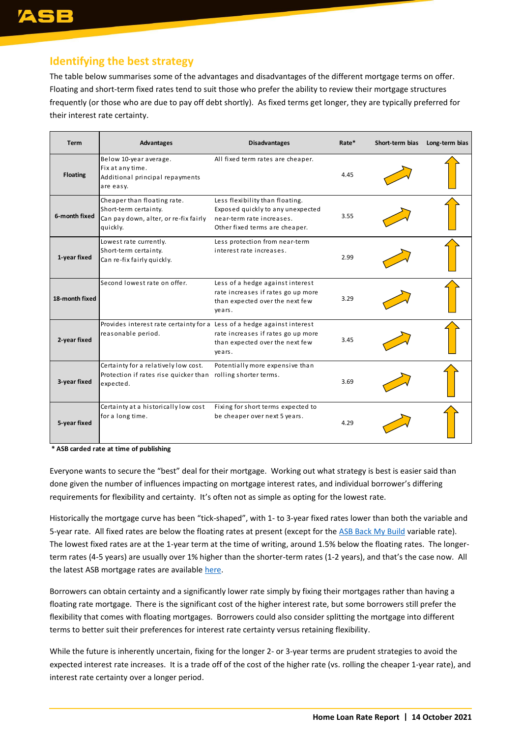### **Identifying the best strategy**

The table below summarises some of the advantages and disadvantages of the different mortgage terms on offer. Floating and short-term fixed rates tend to suit those who prefer the ability to review their mortgage structures frequently (or those who are due to pay off debt shortly). As fixed terms get longer, they are typically preferred for their interest rate certainty.

| <b>Term</b>     | Advantages                                                                                                        | <b>Disadvantages</b>                                                                                                                | Rate* | Short-term bias | Long-term bias |
|-----------------|-------------------------------------------------------------------------------------------------------------------|-------------------------------------------------------------------------------------------------------------------------------------|-------|-----------------|----------------|
| <b>Floating</b> | Below 10-year average.<br>Fix at any time.<br>Additional principal repayments<br>are easy.                        | All fixed term rates are cheaper.                                                                                                   | 4.45  |                 |                |
| 6-month fixed   | Cheaper than floating rate.<br>Short-term certainty.<br>Can pay down, alter, or re-fix fairly<br>quickly.         | Less flexibility than floating.<br>Exposed quickly to any unexpected<br>near-term rate increases.<br>Other fixed terms are cheaper. | 3.55  |                 |                |
| 1-year fixed    | Lowest rate currently.<br>Short-term certainty.<br>Can re-fix fairly quickly.                                     | Less protection from near-term<br>interest rate increases.                                                                          | 2.99  |                 |                |
| 18-month fixed  | Second lowest rate on offer.                                                                                      | Less of a hedge against interest<br>rate increases if rates go up more<br>than expected over the next few<br>years.                 | 3.29  |                 |                |
| 2-year fixed    | Provides interest rate certainty for a Less of a hedge against interest<br>reasonable period.                     | rate increases if rates go up more<br>than expected over the next few<br>years.                                                     | 3.45  |                 |                |
| 3-year fixed    | Certainty for a relatively low cost.<br>Protection if rates rise quicker than rolling shorter terms.<br>expected. | Potentially more expensive than                                                                                                     | 3.69  |                 |                |
| 5-year fixed    | Certainty at a historically low cost<br>for a long time.                                                          | Fixing for short terms expected to<br>be cheaper over next 5 years.                                                                 | 4.29  |                 |                |

**\* ASB carded rate at time of publishing**

Everyone wants to secure the "best" deal for their mortgage. Working out what strategy is best is easier said than done given the number of influences impacting on mortgage interest rates, and individual borrower's differing requirements for flexibility and certainty. It's often not as simple as opting for the lowest rate.

Historically the mortgage curve has been "tick-shaped", with 1- to 3-year fixed rates lower than both the variable and 5-year rate. All fixed rates are below the floating rates at present (except for the [ASB Back My Build](https://www.asb.co.nz/home-loans-mortgages/back-my-build.html) variable rate). The lowest fixed rates are at the 1-year term at the time of writing, around 1.5% below the floating rates. The longerterm rates (4-5 years) are usually over 1% higher than the shorter-term rates (1-2 years), and that's the case now. All the latest ASB mortgage rates are availabl[e here.](https://www.asb.co.nz/home-loans-mortgages/interest-rates-fees.html)

Borrowers can obtain certainty and a significantly lower rate simply by fixing their mortgages rather than having a floating rate mortgage. There is the significant cost of the higher interest rate, but some borrowers still prefer the flexibility that comes with floating mortgages. Borrowers could also consider splitting the mortgage into different terms to better suit their preferences for interest rate certainty versus retaining flexibility.

While the future is inherently uncertain, fixing for the longer 2- or 3-year terms are prudent strategies to avoid the expected interest rate increases. It is a trade off of the cost of the higher rate (vs. rolling the cheaper 1-year rate), and interest rate certainty over a longer period.